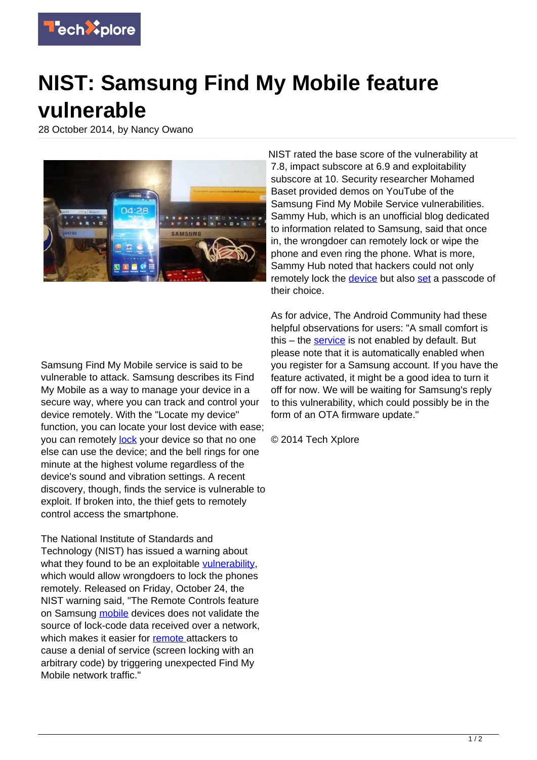

## **NIST: Samsung Find My Mobile feature vulnerable**

28 October 2014, by Nancy Owano



NIST rated the base score of the vulnerability at 7.8, impact subscore at 6.9 and exploitability subscore at 10. Security researcher Mohamed Baset provided demos on YouTube of the Samsung Find My Mobile Service vulnerabilities. Sammy Hub, which is an unofficial blog dedicated to information related to Samsung, said that once in, the wrongdoer can remotely lock or wipe the phone and even ring the phone. What is more, Sammy Hub noted that hackers could not only remotely lock the [device](https://techxplore.com/tags/device/) but also [set](http://sammyhub.com/2014/10/28/vulnerability-found-in-find-my-mobile-service-makes-it-prone-to-remote-locking/) a passcode of their choice.

Samsung Find My Mobile service is said to be vulnerable to attack. Samsung describes its Find My Mobile as a way to manage your device in a secure way, where you can track and control your device remotely. With the "Locate my device" function, you can locate your lost device with ease; you can remotely [lock](http://findmymobile.samsung.com/login.do) your device so that no one else can use the device; and the bell rings for one minute at the highest volume regardless of the device's sound and vibration settings. A recent discovery, though, finds the service is vulnerable to exploit. If broken into, the thief gets to remotely control access the smartphone.

The National Institute of Standards and Technology (NIST) has issued a warning about what they found to be an exploitable [vulnerability,](https://techxplore.com/tags/vulnerability/) which would allow wrongdoers to lock the phones remotely. Released on Friday, October 24, the NIST warning said, "The Remote Controls feature on Samsung [mobile](https://techxplore.com/tags/mobile/) devices does not validate the source of lock-code data received over a network, which makes it easier for [remote a](https://web.nvd.nist.gov/view/vuln/detail?vulnId=CVE-2014-8346)ttackers to cause a denial of service (screen locking with an arbitrary code) by triggering unexpected Find My Mobile network traffic."

As for advice, The Android Community had these helpful observations for users: "A small comfort is this  $-$  the [service](http://androidcommunity.com/nist-reports-vulnerability-of-samsungs-find-my-mobile-feature-20141028/) is not enabled by default. But please note that it is automatically enabled when you register for a Samsung account. If you have the feature activated, it might be a good idea to turn it off for now. We will be waiting for Samsung's reply to this vulnerability, which could possibly be in the form of an OTA firmware update."

© 2014 Tech Xplore